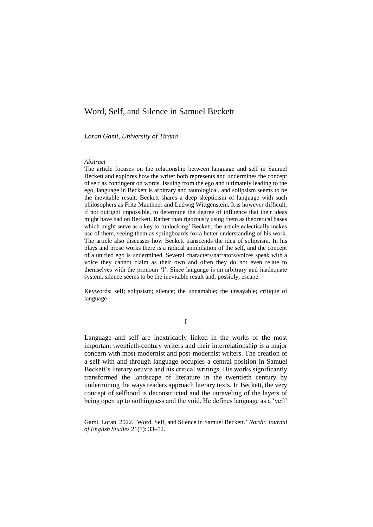# Word, Self, and Silence in Samuel Beckett

*Loran Gami, University of Tirana*

### *Abstract*

The article focuses on the relationship between language and self in Samuel Beckett and explores how the writer both represents and undermines the concept of self as contingent on words. Issuing from the ego and ultimately leading to the ego, language in Beckett is arbitrary and tautological, and solipsism seems to be the inevitable result. Beckett shares a deep skepticism of language with such philosophers as Fritz Mauthner and Ludwig Wittgenstein. It is however difficult, if not outright impossible, to determine the degree of influence that their ideas might have had on Beckett. Rather than rigorously using them as theoretical bases which might serve as a key to 'unlocking' Beckett, the article eclectically makes use of them, seeing them as springboards for a better understanding of his work. The article also discusses how Beckett transcends the idea of solipsism. In his plays and prose works there is a radical annihilation of the self, and the concept of a unified ego is undermined. Several characters/narrators/voices speak with a voice they cannot claim as their own and often they do not even relate to themselves with the pronoun 'I'. Since language is an arbitrary and inadequate system, silence seems to be the inevitable result and, possibly, escape.

Keywords: self; solipsism; silence; the unnamable; the unsayable; critique of language

I

Language and self are inextricably linked in the works of the most important twentieth-century writers and their interrelationship is a major concern with most modernist and post-modernist writers. The creation of a self with and through language occupies a central position in Samuel Beckett's literary oeuvre and his critical writings. His works significantly transformed the landscape of literature in the twentieth century by undermining the ways readers approach literary texts. In Beckett, the very concept of selfhood is deconstructed and the unraveling of the layers of being open up to nothingness and the void. He defines language as a 'veil'

Gami, Loran. 2022. 'Word, Self, and Silence in Samuel Beckett.' *Nordic Journal of English Studies* 21(1): 33–52.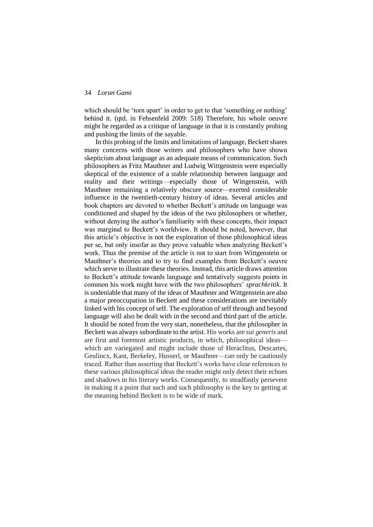which should be 'torn apart' in order to get to that 'something or nothing' behind it. (qtd. in Fehsenfeld 2009: 518) Therefore, his whole oeuvre might be regarded as a critique of language in that it is constantly probing and pushing the limits of the sayable.

In this probing of the limits and limitations of language, Beckett shares many concerns with those writers and philosophers who have shown skepticism about language as an adequate means of communication. Such philosophers as Fritz Mauthner and Ludwig Wittgenstein were especially skeptical of the existence of a stable relationship between language and reality and their writings—especially those of Wittgenstein, with Mauthner remaining a relatively obscure source—exerted considerable influence in the twentieth-century history of ideas. Several articles and book chapters are devoted to whether Beckett's attitude on language was conditioned and shaped by the ideas of the two philosophers or whether, without denying the author's familiarity with these concepts, their impact was marginal to Beckett's worldview. It should be noted, however, that this article's objective is not the exploration of those philosophical ideas per se, but only insofar as they prove valuable when analyzing Beckett's work. Thus the premise of the article is not to start from Wittgenstein or Mauthner's theories and to try to find examples from Beckett's oeuvre which serve to illustrate these theories. Instead, this article draws attention to Beckett's attitude towards language and tentatively suggests points in common his work might have with the two philosophers' *sprachkritik*. It is undeniable that many of the ideas of Mauthner and Wittgenstein are also a major preoccupation in Beckett and these considerations are inevitably linked with his concept of self. The exploration of self through and beyond language will also be dealt with in the second and third part of the article. It should be noted from the very start, nonetheless, that the philosopher in Beckett was always subordinate to the artist. His works are *sui generis* and are first and foremost artistic products, in which, philosophical ideas which are variegated and might include those of Heraclitus, Descartes, Geulincx, Kant, Berkeley, Husserl, or Mauthner—can only be cautiously traced. Rather than asserting that Beckett's works have clear references to these various philosophical ideas the reader might only detect their echoes and shadows in his literary works. Consequently, to steadfastly persevere in making it a point that such and such philosophy is the key to getting at the meaning behind Beckett is to be wide of mark.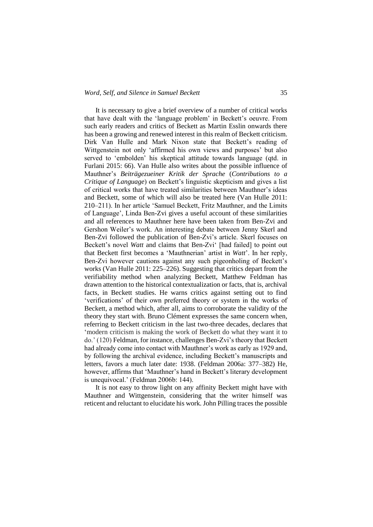#### *Word, Self, and Silence in Samuel Beckett* 35

It is necessary to give a brief overview of a number of critical works that have dealt with the 'language problem' in Beckett's oeuvre. From such early readers and critics of Beckett as Martin Esslin onwards there has been a growing and renewed interest in this realm of Beckett criticism. Dirk Van Hulle and Mark Nixon state that Beckett's reading of Wittgenstein not only 'affirmed his own views and purposes' but also served to 'embolden' his skeptical attitude towards language (qtd. in Furlani 2015: 66). Van Hulle also writes about the possible influence of Mauthner's *Beiträgezueiner Kritik der Sprache* (*Contributions to a Critique of Language*) on Beckett's linguistic skepticism and gives a list of critical works that have treated similarities between Mauthner's ideas and Beckett, some of which will also be treated here (Van Hulle 2011: 210–211). In her article 'Samuel Beckett, Fritz Mauthner, and the Limits of Language', Linda Ben-Zvi gives a useful account of these similarities and all references to Mauthner here have been taken from Ben-Zvi and Gershon Weiler's work. An interesting debate between Jenny Skerl and Ben-Zvi followed the publication of Ben-Zvi's article. Skerl focuses on Beckett's novel *Watt* and claims that Ben-Zvi' [had failed] to point out that Beckett first becomes a 'Mauthnerian' artist in *Watt*'. In her reply, Ben-Zvi however cautions against any such pigeonholing of Beckett's works (Van Hulle 2011: 225–226). Suggesting that critics depart from the verifiability method when analyzing Beckett, Matthew Feldman has drawn attention to the historical contextualization or facts, that is, archival facts, in Beckett studies. He warns critics against setting out to find 'verifications' of their own preferred theory or system in the works of Beckett, a method which, after all, aims to corroborate the validity of the theory they start with. Bruno Clément expresses the same concern when, referring to Beckett criticism in the last two-three decades, declares that 'modern criticism is making the work of Beckett do what they want it to do.' (120) Feldman, for instance, challenges Ben-Zvi's theory that Beckett had already come into contact with Mauthner's work as early as 1929 and, by following the archival evidence, including Beckett's manuscripts and letters, favors a much later date: 1938. (Feldman 2006a: 377–382) He, however, affirms that 'Mauthner's hand in Beckett's literary development is unequivocal.' (Feldman 2006b: 144).

It is not easy to throw light on any affinity Beckett might have with Mauthner and Wittgenstein, considering that the writer himself was reticent and reluctant to elucidate his work. John Pilling traces the possible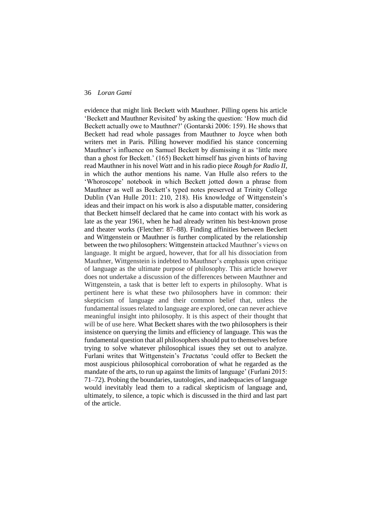evidence that might link Beckett with Mauthner. Pilling opens his article 'Beckett and Mauthner Revisited' by asking the question: 'How much did Beckett actually owe to Mauthner?' (Gontarski 2006: 159). He shows that Beckett had read whole passages from Mauthner to Joyce when both writers met in Paris. Pilling however modified his stance concerning Mauthner's influence on Samuel Beckett by dismissing it as 'little more than a ghost for Beckett.' (165) Beckett himself has given hints of having read Mauthner in his novel *Watt* and in his radio piece *Rough for Radio II*, in which the author mentions his name. Van Hulle also refers to the 'Whoroscope' notebook in which Beckett jotted down a phrase from Mauthner as well as Beckett's typed notes preserved at Trinity College Dublin (Van Hulle 2011: 210, 218). His knowledge of Wittgenstein's ideas and their impact on his work is also a disputable matter, considering that Beckett himself declared that he came into contact with his work as late as the year 1961, when he had already written his best-known prose and theater works (Fletcher: 87–88). Finding affinities between Beckett and Wittgenstein or Mauthner is further complicated by the relationship between the two philosophers: Wittgenstein attacked Mauthner's views on language. It might be argued, however, that for all his dissociation from Mauthner, Wittgenstein is indebted to Mauthner's emphasis upon critique of language as the ultimate purpose of philosophy. This article however does not undertake a discussion of the differences between Mauthner and Wittgenstein, a task that is better left to experts in philosophy. What is pertinent here is what these two philosophers have in common: their skepticism of language and their common belief that, unless the fundamental issues related to language are explored, one can never achieve meaningful insight into philosophy. It is this aspect of their thought that will be of use here. What Beckett shares with the two philosophers is their insistence on querying the limits and efficiency of language. This was the fundamental question that all philosophers should put to themselves before trying to solve whatever philosophical issues they set out to analyze. Furlani writes that Wittgenstein's *Tractatus* 'could offer to Beckett the most auspicious philosophical corroboration of what he regarded as the mandate of the arts, to run up against the limits of language' (Furlani 2015: 71–72). Probing the boundaries, tautologies, and inadequacies of language would inevitably lead them to a radical skepticism of language and, ultimately, to silence, a topic which is discussed in the third and last part of the article.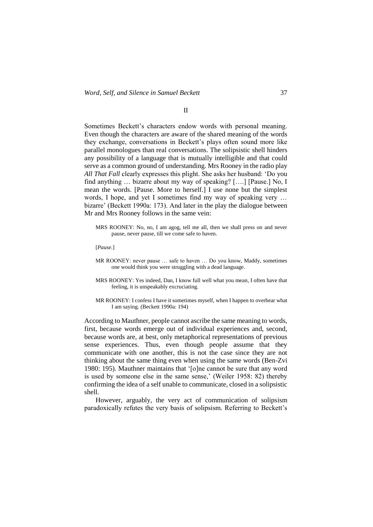#### II

Sometimes Beckett's characters endow words with personal meaning. Even though the characters are aware of the shared meaning of the words they exchange, conversations in Beckett's plays often sound more like parallel monologues than real conversations. The solipsistic shell hinders any possibility of a language that is mutually intelligible and that could serve as a common ground of understanding. Mrs Rooney in the radio play *All That Fall* clearly expresses this plight. She asks her husband: 'Do you find anything … bizarre about my way of speaking? [….] [Pause.] No, I mean the words. [Pause. More to herself.] I use none but the simplest words, I hope, and yet I sometimes find my way of speaking very … bizarre' (Beckett 1990a: 173). And later in the play the dialogue between Mr and Mrs Rooney follows in the same vein:

- MRS ROONEY: No, no, I am agog, tell me all, then we shall press on and never pause, never pause, till we come safe to haven.
- [*Pause.*]
- MR ROONEY: never pause … safe to haven … Do you know, Maddy, sometimes one would think you were struggling with a dead language.
- MRS ROONEY: Yes indeed, Dan, I know full well what you mean, I often have that feeling, it is unspeakably excruciating.
- MR ROONEY: I confess I have it sometimes myself, when I happen to overhear what I am saying. (Beckett 1990a: 194)

According to Mauthner, people cannot ascribe the same meaning to words, first, because words emerge out of individual experiences and, second, because words are, at best, only metaphorical representations of previous sense experiences. Thus, even though people assume that they communicate with one another, this is not the case since they are not thinking about the same thing even when using the same words (Ben-Zvi 1980: 195). Mauthner maintains that '[o]ne cannot be sure that any word is used by someone else in the same sense,' (Weiler 1958: 82) thereby confirming the idea of a self unable to communicate, closed in a solipsistic shell.

However, arguably, the very act of communication of solipsism paradoxically refutes the very basis of solipsism. Referring to Beckett's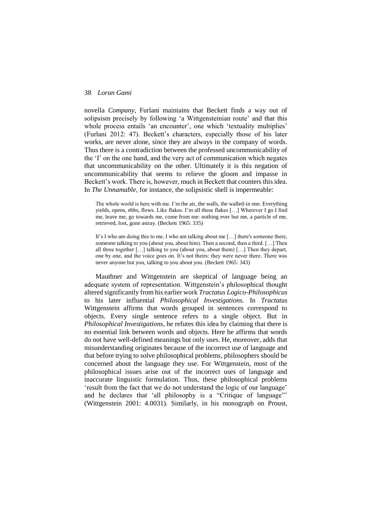novella *Company*, Furlani maintains that Beckett finds a way out of solipsism precisely by following 'a Wittgensteinian route' and that this whole process entails 'an encounter', one which 'textuality multiplies' (Furlani 2012: 47). Beckett's characters, especially those of his later works, are never alone, since they are always in the company of words. Thus there is a contradiction between the professed uncommunicability of the 'I' on the one hand, and the very act of communication which negates that uncommunicability on the other. Ultimately it is this negation of uncommunicability that seems to relieve the gloom and impasse in Beckett's work. There is, however, much in Beckett that counters this idea. In *The Unnamable*, for instance, the solipsistic shell is impermeable:

The whole world is here with me. I'm the air, the walls, the walled-in one. Everything yields, opens, ebbs, flows. Like flakes. I'm all these flakes […] Wherever I go I find me, leave me, go towards me, come from me: nothing ever but me, a particle of me, retrieved, lost, gone astray. (Beckett 1965: 335)

It's I who am doing this to me, I who am talking about me […] there's someone there, someone talking to you (about you, about him). Then a second, then a third. […] Then all three together […] talking to you (about you, about them) […] Then they depart, one by one, and the voice goes on. It's not theirs: they were never there. There was never anyone but you, talking to you about you. (Beckett 1965: 343)

Mauthner and Wittgenstein are skeptical of language being an adequate system of representation. Wittgenstein's philosophical thought altered significantly from his earlier work *Tractatus Logico-Philosophicus* to his later influential *Philosophical Investigations.* In *Tractatus*  Wittgenstein affirms that words grouped in sentences correspond to objects. Every single sentence refers to a single object. But in *Philosophical Investigations*, he refutes this idea by claiming that there is no essential link between words and objects. Here he affirms that words do not have well-defined meanings but only uses. He, moreover, adds that misunderstanding originates because of the incorrect use of language and that before trying to solve philosophical problems, philosophers should be concerned about the language they use. For Wittgenstein, most of the philosophical issues arise out of the incorrect uses of language and inaccurate linguistic formulation. Thus, these philosophical problems 'result from the fact that we do not understand the logic of our language' and he declares that 'all philosophy is a "Critique of language"' (Wittgenstein 2001: 4.0031). Similarly, in his monograph on Proust,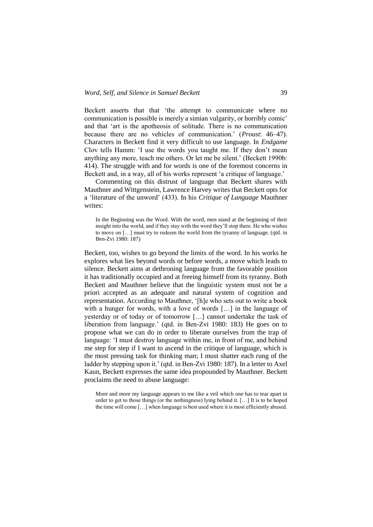Beckett asserts that that 'the attempt to communicate where no communication is possible is merely a simian vulgarity, or horribly comic' and that 'art is the apotheosis of solitude. There is no communication because there are no vehicles of communication.' (*Proust*: 46–47). Characters in Beckett find it very difficult to use language. In *Endgame*  Clov tells Hamm: 'I use the words you taught me. If they don't mean anything any more, teach me others. Or let me be silent.' (Beckett 1990b: 414). The struggle with and for words is one of the foremost concerns in Beckett and, in a way, all of his works represent 'a critique of language.'

Commenting on this distrust of language that Beckett shares with Mauthner and Wittgenstein, Lawrence Harvey writes that Beckett opts for a 'literature of the unword' (433). In his *Critique of Language* Mauthner writes:

In the Beginning was the Word. With the word, men stand at the beginning of their insight into the world, and if they stay with the word they'll stop there. He who wishes to move on […] must try to redeem the world from the tyranny of language. (qtd. in Ben-Zvi 1980: 187)

Beckett, too, wishes to go beyond the limits of the word. In his works he explores what lies beyond words or before words, a move which leads to silence. Beckett aims at dethroning language from the favorable position it has traditionally occupied and at freeing himself from its tyranny. Both Beckett and Mauthner believe that the linguistic system must not be a priori accepted as an adequate and natural system of cognition and representation. According to Mauthner, '[h]e who sets out to write a book with a hunger for words, with a love of words [...] in the language of yesterday or of today or of tomorrow […] cannot undertake the task of liberation from language.' (qtd. in Ben-Zvi 1980: 183) He goes on to propose what we can do in order to liberate ourselves from the trap of language: 'I must destroy language within me, in front of me, and behind me step for step if I want to ascend in the critique of language, which is the most pressing task for thinking man; I must shatter each rung of the ladder by stepping upon it.' (qtd. in Ben-Zvi 1980: 187). In a letter to Axel Kaun, Beckett expresses the same idea propounded by Mauthner. Beckett proclaims the need to abuse language:

More and more my language appears to me like a veil which one has to tear apart in order to get to those things (or the nothingness) lying behind it. […] It is to be hoped the time will come […] when language is best used where it is most efficiently abused.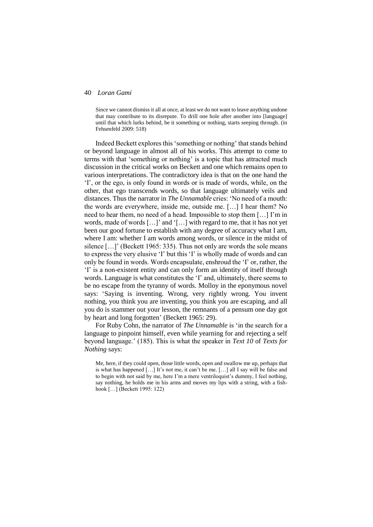Since we cannot dismiss it all at once, at least we do not want to leave anything undone that may contribute to its disrepute. To drill one hole after another into [language] until that which lurks behind, be it something or nothing, starts seeping through. (in Fehsenfeld 2009: 518)

Indeed Beckett explores this 'something or nothing' that stands behind or beyond language in almost all of his works. This attempt to come to terms with that 'something or nothing' is a topic that has attracted much discussion in the critical works on Beckett and one which remains open to various interpretations. The contradictory idea is that on the one hand the 'I', or the ego, is only found in words or is made of words, while, on the other, that ego transcends words, so that language ultimately veils and distances. Thus the narrator in *The Unnamable* cries: 'No need of a mouth: the words are everywhere, inside me, outside me. […] I hear them? No need to hear them, no need of a head. Impossible to stop them […] I'm in words, made of words […]' and '[…] with regard to me, that it has not yet been our good fortune to establish with any degree of accuracy what I am, where I am: whether I am words among words, or silence in the midst of silence [...]' (Beckett 1965: 335). Thus not only are words the sole means to express the very elusive 'I' but this 'I' is wholly made of words and can only be found in words. Words encapsulate, enshroud the 'I' or, rather, the 'I' is a non-existent entity and can only form an identity of itself through words. Language is what constitutes the 'I' and, ultimately, there seems to be no escape from the tyranny of words. Molloy in the eponymous novel says: 'Saying is inventing. Wrong, very rightly wrong. You invent nothing, you think you are inventing, you think you are escaping, and all you do is stammer out your lesson, the remnants of a pensum one day got by heart and long forgotten' (Beckett 1965: 29).

For Ruby Cohn, the narrator of *The Unnamable* is 'in the search for a language to pinpoint himself, even while yearning for and rejecting a self beyond language.' (185). This is what the speaker in *Text 10* of *Texts for Nothing* says:

Me, here, if they could open, those little words, open and swallow me up, perhaps that is what has happened […] It's not me, it can't be me. […] all I say will be false and to begin with not said by me, here I'm a mere ventriloquist's dummy, I feel nothing, say nothing, he holds me in his arms and moves my lips with a string, with a fishhook […] (Beckett 1995: 122)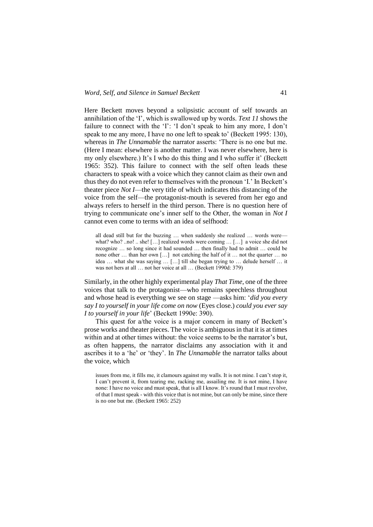Here Beckett moves beyond a solipsistic account of self towards an annihilation of the 'I', which is swallowed up by words. *Text 11* shows the failure to connect with the 'I': 'I don't speak to him any more, I don't speak to me any more, I have no one left to speak to' (Beckett 1995: 130), whereas in *The Unnamable* the narrator asserts: 'There is no one but me. (Here I mean: elsewhere is another matter. I was never elsewhere, here is my only elsewhere.) It's I who do this thing and I who suffer it' (Beckett 1965: 352). This failure to connect with the self often leads these characters to speak with a voice which they cannot claim as their own and thus they do not even refer to themselves with the pronoun 'I.' In Beckett's theater piece *Not I*—the very title of which indicates this distancing of the voice from the self—the protagonist-mouth is severed from her ego and always refers to herself in the third person. There is no question here of trying to communicate one's inner self to the Other, the woman in *Not I*  cannot even come to terms with an idea of selfhood:

all dead still but for the buzzing ... when suddenly she realized ... words werewhat? who? ..no! .. she! [...] realized words were coming ... [...] a voice she did not recognize … so long since it had sounded … then finally had to admit … could be none other … than her own […] not catching the half of it … not the quarter … no idea … what she was saying … […] till she began trying to … delude herself … it was not hers at all ... not her voice at all ... (Beckett 1990d: 379)

Similarly, in the other highly experimental play *That Time*, one of the three voices that talk to the protagonist—who remains speechless throughout and whose head is everything we see on stage —asks him: '*did you every say I to yourself in your life come on now* (Eyes close.) *could you ever say I to yourself in your life*' (Beckett 1990e: 390).

This quest for a/the voice is a major concern in many of Beckett's prose works and theater pieces. The voice is ambiguous in that it is at times within and at other times without: the voice seems to be the narrator's but, as often happens, the narrator disclaims any association with it and ascribes it to a 'he' or 'they'. In *The Unnamable* the narrator talks about the voice, which

issues from me, it fills me, it clamours against my walls. It is not mine. I can't stop it, I can't prevent it, from tearing me, racking me, assailing me. It is not mine, I have none: I have no voice and must speak, that is all I know. It's round that I must revolve, of that I must speak - with this voice that is not mine, but can only be mine, since there is no one but me. (Beckett 1965: 252)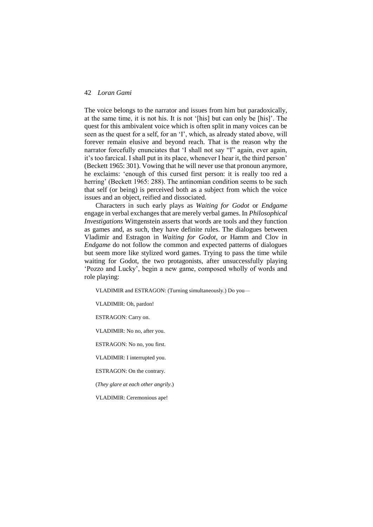The voice belongs to the narrator and issues from him but paradoxically, at the same time, it is not his. It is not '[his] but can only be [his]'. The quest for this ambivalent voice which is often split in many voices can be seen as the quest for a self, for an 'I', which, as already stated above, will forever remain elusive and beyond reach. That is the reason why the narrator forcefully enunciates that 'I shall not say "I" again, ever again, it's too farcical. I shall put in its place, whenever I hear it, the third person' (Beckett 1965: 301). Vowing that he will never use that pronoun anymore, he exclaims: 'enough of this cursed first person: it is really too red a herring' (Beckett 1965: 288). The antinomian condition seems to be such that self (or being) is perceived both as a subject from which the voice issues and an object, reified and dissociated.

Characters in such early plays as *Waiting for Godot* or *Endgame* engage in verbal exchanges that are merely verbal games. In *Philosophical Investigations* Wittgenstein asserts that words are tools and they function as games and, as such, they have definite rules. The dialogues between Vladimir and Estragon in *Waiting for Godot*, or Hamm and Clov in *Endgame* do not follow the common and expected patterns of dialogues but seem more like stylized word games. Trying to pass the time while waiting for Godot, the two protagonists, after unsuccessfully playing 'Pozzo and Lucky', begin a new game, composed wholly of words and role playing:

VLADIMIR and ESTRAGON: (Turning simultaneously.) Do you*—*

VLADIMIR: Oh, pardon!

ESTRAGON: Carry on.

VLADIMIR: No no, after you*.*

ESTRAGON: No no, you first.

VLADIMIR: I interrupted you.

ESTRAGON: On the contrary.

(*They glare at each other angrily*.)

VLADIMIR: Ceremonious ape!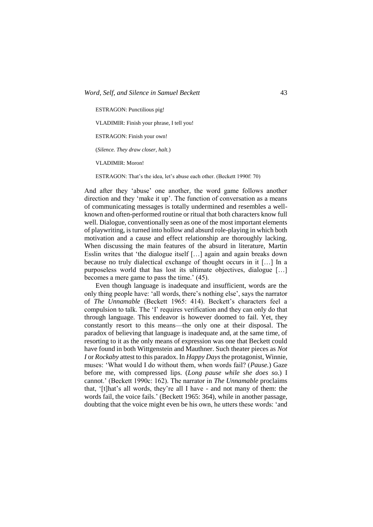ESTRAGON: Punctilious pig!

VLADIMIR: Finish your phrase, I tell you!

ESTRAGON: Finish your own!

(*Silence. They draw closer, halt.*)

VLADIMIR: Moron!

ESTRAGON: That's the idea, let's abuse each other. (Beckett 1990f: 70)

And after they 'abuse' one another, the word game follows another direction and they 'make it up'. The function of conversation as a means of communicating messages is totally undermined and resembles a wellknown and often-performed routine or ritual that both characters know full well. Dialogue, conventionally seen as one of the most important elements of playwriting, is turned into hollow and absurd role-playing in which both motivation and a cause and effect relationship are thoroughly lacking. When discussing the main features of the absurd in literature, Martin Esslin writes that 'the dialogue itself […] again and again breaks down because no truly dialectical exchange of thought occurs in it […] In a purposeless world that has lost its ultimate objectives, dialogue […] becomes a mere game to pass the time.' (45).

Even though language is inadequate and insufficient, words are the only thing people have: 'all words, there's nothing else', says the narrator of *The Unnamable* (Beckett 1965: 414). Beckett's characters feel a compulsion to talk. The 'I' requires verification and they can only do that through language. This endeavor is however doomed to fail. Yet, they constantly resort to this means—the only one at their disposal. The paradox of believing that language is inadequate and, at the same time, of resorting to it as the only means of expression was one that Beckett could have found in both Wittgenstein and Mauthner. Such theater pieces as *Not I* or *Rockaby* attest to this paradox. In *Happy Days*the protagonist, Winnie, muses: 'What would I do without them, when words fail? (*Pause.*) Gaze before me, with compressed lips. (*Long pause while she does so.*) I cannot.' (Beckett 1990c: 162). The narrator in *The Unnamable* proclaims that, '[t]hat's all words, they're all I have - and not many of them: the words fail, the voice fails.' (Beckett 1965: 364), while in another passage, doubting that the voice might even be his own, he utters these words: 'and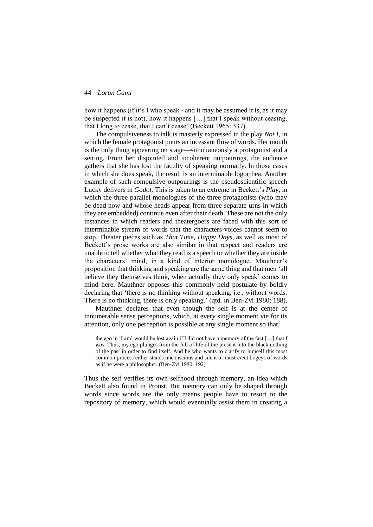how it happens (if it's I who speak - and it may be assumed it is, as it may be suspected it is not), how it happens […] that I speak without ceasing, that I long to cease, that I can't cease' (Beckett 1965: 337).

The compulsiveness to talk is masterly expressed in the play *Not I*, in which the female protagonist pours an incessant flow of words. Her mouth is the only thing appearing on stage—simultaneously a protagonist and a setting. From her disjointed and incoherent outpourings, the audience gathers that she has lost the faculty of speaking normally. In those cases in which she does speak, the result is an interminable logorrhea. Another example of such compulsive outpourings is the pseudoscientific speech Lucky delivers in *Godot.* This is taken to an extreme in Beckett's *Play*, in which the three parallel monologues of the three protagonists (who may be dead now and whose heads appear from three separate urns in which they are embedded) continue even after their death. These are not the only instances in which readers and theatergoers are faced with this sort of interminable stream of words that the characters-voices cannot seem to stop. Theater pieces such as *That Time, Happy Days,* as well as most of Beckett's prose works are also similar in that respect and readers are unable to tell whether what they read is a speech or whether they are inside the characters' mind, in a kind of interior monologue. Mauthner's proposition that thinking and speaking are the same thing and that men 'all believe they themselves think, when actually they only speak' comes to mind here. Mauthner opposes this commonly-held postulate by boldly declaring that 'there is no thinking without speaking, i.e., without words. There is no thinking, there is only speaking.' (qtd. in Ben-Zvi 1980: 188).

Mauthner declares that even though the self is at the center of innumerable sense perceptions, which, at every single moment vie for its attention, only one perception is possible at any single moment so that,

the ego in 'I am' would be lost again if I did not have a memory of the fact […] that *I was*. Thus, my ego plunges from the full of life of the present into the black nothing of the past in order to find itself. And he who wants to clarify to himself this most common process either stands unconscious and silent or must erect bogeys of words as if he were a philosopher. (Ben-Zvi 1980: 192)

Thus the self verifies its own selfhood through memory, an idea which Beckett also found in Proust. But memory can only be shaped through words since words are the only means people have to resort to the repository of memory, which would eventually assist them in creating a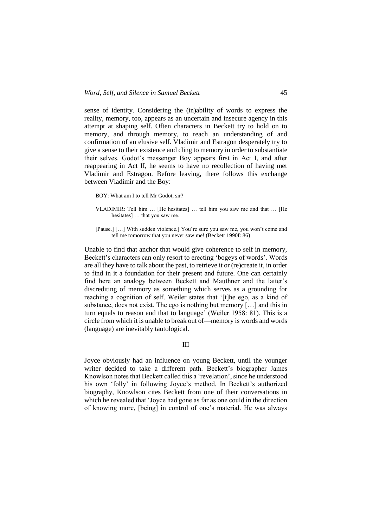sense of identity. Considering the (in)ability of words to express the reality, memory, too, appears as an uncertain and insecure agency in this attempt at shaping self. Often characters in Beckett try to hold on to memory, and through memory, to reach an understanding of and confirmation of an elusive self. Vladimir and Estragon desperately try to give a sense to their existence and cling to memory in order to substantiate their selves. Godot's messenger Boy appears first in Act I, and after reappearing in Act II, he seems to have no recollection of having met Vladimir and Estragon. Before leaving, there follows this exchange between Vladimir and the Boy:

- BOY: What am I to tell Mr Godot, sir?
- VLADIMIR: Tell him … [He hesitates] … tell him you saw me and that … [He hesitates] … that you saw me.
- [Pause.] [...] With sudden violence.] You're sure you saw me, you won't come and tell me tomorrow that you never saw me! (Beckett 1990f: 86)

Unable to find that anchor that would give coherence to self in memory, Beckett's characters can only resort to erecting 'bogeys of words'. Words are all they have to talk about the past, to retrieve it or (re)create it, in order to find in it a foundation for their present and future. One can certainly find here an analogy between Beckett and Mauthner and the latter's discrediting of memory as something which serves as a grounding for reaching a cognition of self. Weiler states that '[t]he ego, as a kind of substance, does not exist. The ego is nothing but memory […] and this in turn equals to reason and that to language' (Weiler 1958: 81). This is a circle from which it is unable to break out of—memory is words and words (language) are inevitably tautological.

III

Joyce obviously had an influence on young Beckett, until the younger writer decided to take a different path. Beckett's biographer James Knowlson notes that Beckett called this a 'revelation', since he understood his own 'folly' in following Joyce's method. In Beckett's authorized biography, Knowlson cites Beckett from one of their conversations in which he revealed that 'Joyce had gone as far as one could in the direction of knowing more, [being] in control of one's material. He was always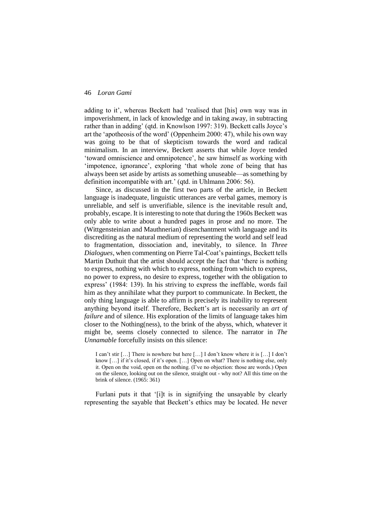adding to it', whereas Beckett had 'realised that [his] own way was in impoverishment, in lack of knowledge and in taking away, in subtracting rather than in adding' (qtd. in Knowlson 1997: 319). Beckett calls Joyce's art the 'apotheosis of the word' (Oppenheim 2000: 47), while his own way was going to be that of skepticism towards the word and radical minimalism. In an interview, Beckett asserts that while Joyce tended 'toward omniscience and omnipotence', he saw himself as working with 'impotence, ignorance', exploring 'that whole zone of being that has always been set aside by artists as something unuseable—as something by definition incompatible with art.' (qtd. in Uhlmann 2006: 56).

Since, as discussed in the first two parts of the article, in Beckett language is inadequate, linguistic utterances are verbal games, memory is unreliable, and self is unverifiable, silence is the inevitable result and, probably, escape. It is interesting to note that during the 1960s Beckett was only able to write about a hundred pages in prose and no more. The (Wittgensteinian and Mauthnerian) disenchantment with language and its discrediting as the natural medium of representing the world and self lead to fragmentation, dissociation and, inevitably, to silence. In *Three Dialogues*, when commenting on Pierre Tal-Coat's paintings, Beckett tells Martin Duthuit that the artist should accept the fact that 'there is nothing to express, nothing with which to express, nothing from which to express, no power to express, no desire to express, together with the obligation to express' (1984: 139). In his striving to express the ineffable, words fail him as they annihilate what they purport to communicate. In Beckett, the only thing language is able to affirm is precisely its inability to represent anything beyond itself. Therefore, Beckett's art is necessarily an *art of failure* and of silence. His exploration of the limits of language takes him closer to the Nothing(ness), to the brink of the abyss, which, whatever it might be, seems closely connected to silence. The narrator in *The Unnamable* forcefully insists on this silence:

I can't stir […] There is nowhere but here […] I don't know where it is […] I don't know […] if it's closed, if it's open. […] Open on what? There is nothing else, only it. Open on the void, open on the nothing. (I've no objection: those are words.) Open on the silence, looking out on the silence, straight out - why not? All this time on the brink of silence. (1965: 361)

Furlani puts it that '[i]t is in signifying the unsayable by clearly representing the sayable that Beckett's ethics may be located. He never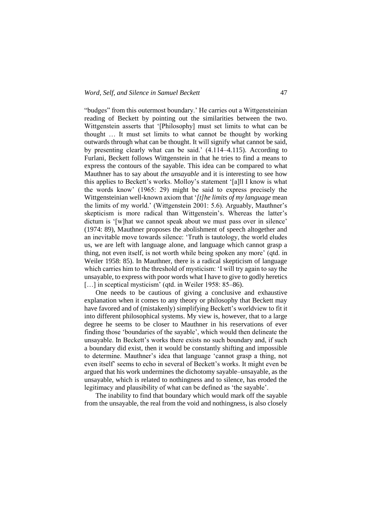"budges" from this outermost boundary.' He carries out a Wittgensteinian reading of Beckett by pointing out the similarities between the two. Wittgenstein asserts that '[Philosophy] must set limits to what can be thought … It must set limits to what cannot be thought by working outwards through what can be thought. It will signify what cannot be said, by presenting clearly what can be said.' (4.114–4.115). According to Furlani, Beckett follows Wittgenstein in that he tries to find a means to express the contours of the sayable. This idea can be compared to what Mauthner has to say about *the unsayable* and it is interesting to see how this applies to Beckett's works. Molloy's statement '[a]ll I know is what the words know' (1965: 29) might be said to express precisely the Wittgensteinian well-known axiom that '*[t]he limits of my language* mean the limits of my world.' (Wittgenstein 2001: 5.6). Arguably, Mauthner's skepticism is more radical than Wittgenstein's. Whereas the latter's dictum is '[w]hat we cannot speak about we must pass over in silence' (1974: 89), Mauthner proposes the abolishment of speech altogether and an inevitable move towards silence: 'Truth is tautology, the world eludes us, we are left with language alone, and language which cannot grasp a thing, not even itself, is not worth while being spoken any more' (qtd. in Weiler 1958: 85). In Mauthner, there is a radical skepticism of language which carries him to the threshold of mysticism: 'I will try again to say the unsayable, to express with poor words what I have to give to godly heretics [...] in sceptical mysticism' (qtd. in Weiler 1958: 85–86).

One needs to be cautious of giving a conclusive and exhaustive explanation when it comes to any theory or philosophy that Beckett may have favored and of (mistakenly) simplifying Beckett's worldview to fit it into different philosophical systems. My view is, however, that to a large degree he seems to be closer to Mauthner in his reservations of ever finding those 'boundaries of the sayable', which would then delineate the unsayable. In Beckett's works there exists no such boundary and, if such a boundary did exist, then it would be constantly shifting and impossible to determine. Mauthner's idea that language 'cannot grasp a thing, not even itself' seems to echo in several of Beckett's works. It might even be argued that his work undermines the dichotomy sayable–unsayable, as the unsayable, which is related to nothingness and to silence, has eroded the legitimacy and plausibility of what can be defined as 'the sayable'.

The inability to find that boundary which would mark off the sayable from the unsayable, the real from the void and nothingness, is also closely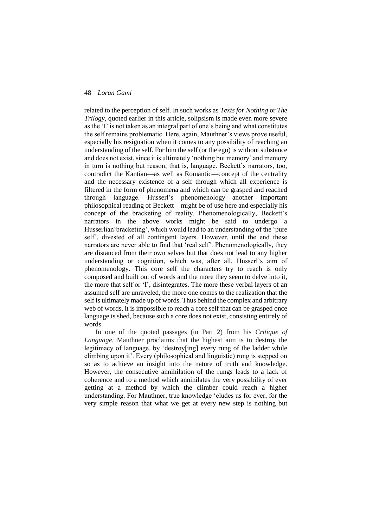related to the perception of self. In such works as *Texts for Nothing* or *The Trilogy*, quoted earlier in this article, solipsism is made even more severe as the 'I' is not taken as an integral part of one's being and what constitutes the self remains problematic. Here, again, Mauthner's views prove useful, especially his resignation when it comes to any possibility of reaching an understanding of the self. For him the self (or the ego) is without substance and does not exist, since it is ultimately 'nothing but memory' and memory in turn is nothing but reason, that is, language. Beckett's narrators, too, contradict the Kantian—as well as Romantic—concept of the centrality and the necessary existence of a self through which all experience is filtered in the form of phenomena and which can be grasped and reached through language. Husserl's phenomenology—another important philosophical reading of Beckett—might be of use here and especially his concept of the bracketing of reality. Phenomenologically, Beckett's narrators in the above works might be said to undergo a Husserlian'bracketing', which would lead to an understanding of the 'pure self', divested of all contingent layers. However, until the end these narrators are never able to find that 'real self'. Phenomenologically, they are distanced from their own selves but that does not lead to any higher understanding or cognition, which was, after all, Husserl's aim of phenomenology. This core self the characters try to reach is only composed and built out of words and the more they seem to delve into it, the more that self or 'I', disintegrates. The more these verbal layers of an assumed self are unraveled, the more one comes to the realization that the self is ultimately made up of words. Thus behind the complex and arbitrary web of words, it is impossible to reach a core self that can be grasped once language is shed, because such a core does not exist, consisting entirely of words.

In one of the quoted passages (in Part 2) from his *Critique of Language*, Mauthner proclaims that the highest aim is to destroy the legitimacy of language, by 'destroy[ing] every rung of the ladder while climbing upon it'. Every (philosophical and linguistic) rung is stepped on so as to achieve an insight into the nature of truth and knowledge. However, the consecutive annihilation of the rungs leads to a lack of coherence and to a method which annihilates the very possibility of ever getting at a method by which the climber could reach a higher understanding. For Mauthner, true knowledge 'eludes us for ever, for the very simple reason that what we get at every new step is nothing but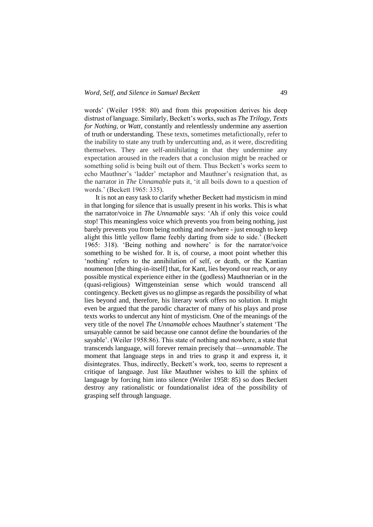words' (Weiler 1958: 80) and from this proposition derives his deep distrust of language. Similarly, Beckett's works, such as *The Trilogy, Texts for Nothing*, or *Watt*, constantly and relentlessly undermine any assertion of truth or understanding. These texts, sometimes metafictionally, refer to the inability to state any truth by undercutting and, as it were, discrediting themselves. They are self-annihilating in that they undermine any expectation aroused in the readers that a conclusion might be reached or something solid is being built out of them. Thus Beckett's works seem to echo Mauthner's 'ladder' metaphor and Mauthner's resignation that, as the narrator in *The Unnamable* puts it, 'it all boils down to a question of words.' (Beckett 1965: 335).

It is not an easy task to clarify whether Beckett had mysticism in mind in that longing for silence that is usually present in his works. This is what the narrator/voice in *The Unnamable* says: 'Ah if only this voice could stop! This meaningless voice which prevents you from being nothing, just barely prevents you from being nothing and nowhere - just enough to keep alight this little yellow flame feebly darting from side to side.' (Beckett 1965: 318). 'Being nothing and nowhere' is for the narrator/voice something to be wished for. It is, of course, a moot point whether this 'nothing' refers to the annihilation of self, or death, or the Kantian noumenon [the thing-in-itself] that, for Kant, lies beyond our reach, or any possible mystical experience either in the (godless) Mauthnerian or in the (quasi-religious) Wittgensteinian sense which would transcend all contingency. Beckett gives us no glimpse as regards the possibility of what lies beyond and, therefore, his literary work offers no solution. It might even be argued that the parodic character of many of his plays and prose texts works to undercut any hint of mysticism. One of the meanings of the very title of the novel *The Unnamable* echoes Mauthner's statement 'The unsayable cannot be said because one cannot define the boundaries of the sayable'. (Weiler 1958:86). This state of nothing and nowhere, a state that transcends language, will forever remain precisely that—*unnamable*. The moment that language steps in and tries to grasp it and express it, it disintegrates. Thus, indirectly, Beckett's work, too, seems to represent a critique of language. Just like Mauthner wishes to kill the sphinx of language by forcing him into silence (Weiler 1958: 85) so does Beckett destroy any rationalistic or foundationalist idea of the possibility of grasping self through language.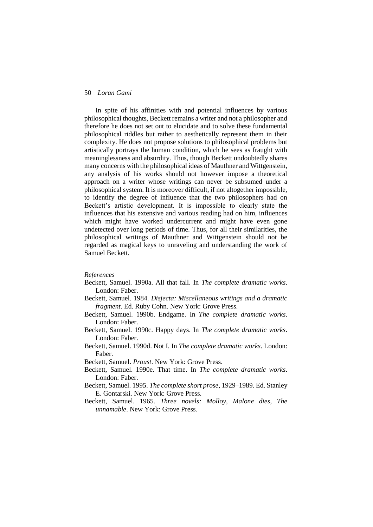In spite of his affinities with and potential influences by various philosophical thoughts, Beckett remains a writer and not a philosopher and therefore he does not set out to elucidate and to solve these fundamental philosophical riddles but rather to aesthetically represent them in their complexity. He does not propose solutions to philosophical problems but artistically portrays the human condition, which he sees as fraught with meaninglessness and absurdity. Thus, though Beckett undoubtedly shares many concerns with the philosophical ideas of Mauthner and Wittgenstein, any analysis of his works should not however impose a theoretical approach on a writer whose writings can never be subsumed under a philosophical system. It is moreover difficult, if not altogether impossible, to identify the degree of influence that the two philosophers had on Beckett's artistic development. It is impossible to clearly state the influences that his extensive and various reading had on him, influences which might have worked undercurrent and might have even gone undetected over long periods of time. Thus, for all their similarities, the philosophical writings of Mauthner and Wittgenstein should not be regarded as magical keys to unraveling and understanding the work of Samuel Beckett.

### *References*

- Beckett, Samuel. 1990a. All that fall. In *The complete dramatic works*. London: Faber.
- Beckett, Samuel. 1984. *Disjecta: Miscellaneous writings and a dramatic fragment*. Ed. Ruby Cohn. New York: Grove Press.
- Beckett, Samuel. 1990b. Endgame. In *The complete dramatic works*. London: Faber.
- Beckett, Samuel. 1990c. Happy days. In *The complete dramatic works*. London: Faber.
- Beckett, Samuel. 1990d. Not I. In *The complete dramatic works*. London: Faber.

Beckett, Samuel. *Proust*. New York: Grove Press.

- Beckett, Samuel. 1990e. That time. In *The complete dramatic works*. London: Faber.
- Beckett, Samuel. 1995. *The complete short prose*, 1929–1989. Ed. Stanley E. Gontarski. New York: Grove Press.
- Beckett, Samuel. 1965. *Three novels: Molloy, Malone dies, The unnamable*. New York: Grove Press.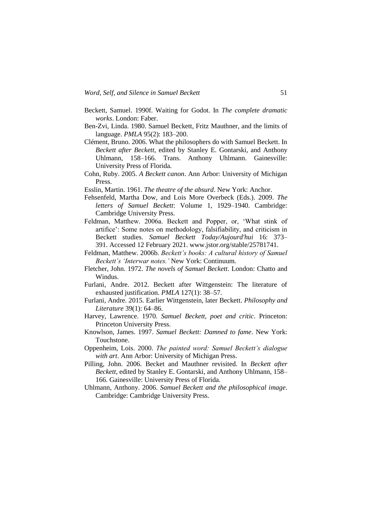- Beckett, Samuel. 1990f. Waiting for Godot. In *The complete dramatic works*. London: Faber.
- Ben-Zvi, Linda. 1980. Samuel Beckett, Fritz Mauthner, and the limits of language. *PMLA* 95(2): 183–200.
- Clément, Bruno. 2006. What the philosophers do with Samuel Beckett. In *Beckett after Beckett*, edited by Stanley E. Gontarski, and Anthony Uhlmann, 158–166. Trans. Anthony Uhlmann. Gainesville: University Press of Florida.
- Cohn, Ruby. 2005. *A Beckett canon*. Ann Arbor: University of Michigan Press.
- Esslin, Martin. 1961. *The theatre of the absurd*. New York: Anchor.
- Fehsenfeld, Martha Dow, and Lois More Overbeck (Eds.). 2009. *The letters of Samuel Beckett*: Volume 1, 1929–1940. Cambridge: Cambridge University Press.
- Feldman, Matthew. 2006a. Beckett and Popper, or, 'What stink of artifice': Some notes on methodology, falsifiability, and criticism in Beckett studies. *Samuel Beckett Today/Aujourd'hui* 16: 373– 391. Accessed 12 February 2021. www.jstor.org/stable/25781741.
- Feldman, Matthew. 2006b. *Beckett's books: A cultural history of Samuel Beckett's 'Interwar notes.'* New York: Continuum.
- Fletcher, John. 1972. *The novels of Samuel Beckett*. London: Chatto and Windus.
- Furlani, Andre. 2012. Beckett after Wittgenstein: The literature of exhausted justification. *PMLA* 127(1): 38–57.
- Furlani, Andre. 2015. Earlier Wittgenstein, later Beckett. *Philosophy and Literature* 39(1): 64–86.
- Harvey, Lawrence. 1970*. Samuel Beckett, poet and critic*. Princeton: Princeton University Press.
- Knowlson, James. 1997. *Samuel Beckett: Damned to fame*. New York: Touchstone.
- Oppenheim, Lois. 2000. *The painted word: Samuel Beckett's dialogue with art*. Ann Arbor: University of Michigan Press.
- Pilling, John. 2006. Becket and Mauthner revisited. In *Beckett after Beckett*, edited by Stanley E. Gontarski, and Anthony Uhlmann, 158– 166. Gainesville: University Press of Florida.
- Uhlmann, Anthony. 2006. *Samuel Beckett and the philosophical image*. Cambridge: Cambridge University Press.